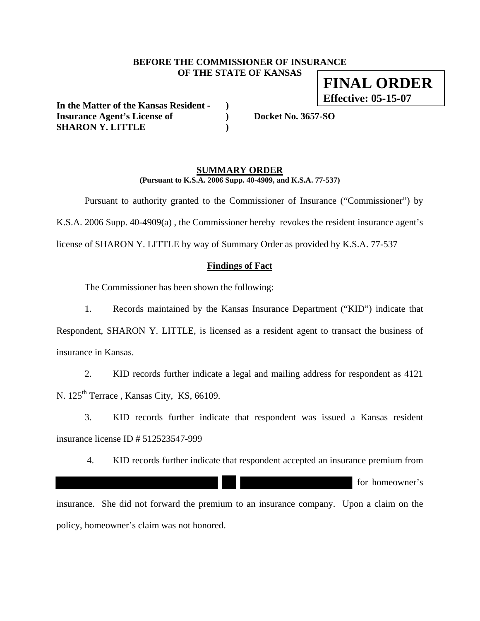### **BEFORE THE COMMISSIONER OF INSURANCE OF THE STATE OF KANSAS**

**FINAL ORDER Effective: 05-15-07**

**In the Matter of the Kansas Resident - ) Insurance Agent's License of ) Docket No. 3657-SO SHARON Y. LITTLE )** 

### **SUMMARY ORDER (Pursuant to K.S.A. 2006 Supp. 40-4909, and K.S.A. 77-537)**

 Pursuant to authority granted to the Commissioner of Insurance ("Commissioner") by K.S.A. 2006 Supp. 40-4909(a) , the Commissioner hereby revokes the resident insurance agent's license of SHARON Y. LITTLE by way of Summary Order as provided by K.S.A. 77-537

# **Findings of Fact**

The Commissioner has been shown the following:

1. Records maintained by the Kansas Insurance Department ("KID") indicate that Respondent, SHARON Y. LITTLE, is licensed as a resident agent to transact the business of insurance in Kansas.

2. KID records further indicate a legal and mailing address for respondent as 4121 N. 125<sup>th</sup> Terrace, Kansas City, KS, 66109.

3. KID records further indicate that respondent was issued a Kansas resident insurance license ID # 512523547-999

4. KID records further indicate that respondent accepted an insurance premium from

for homeowner's

insurance. She did not forward the premium to an insurance company. Upon a claim on the policy, homeowner's claim was not honored.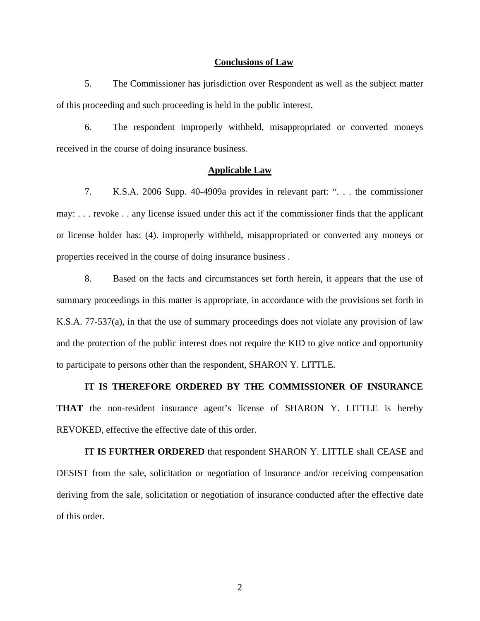#### **Conclusions of Law**

5. The Commissioner has jurisdiction over Respondent as well as the subject matter of this proceeding and such proceeding is held in the public interest.

6. The respondent improperly withheld, misappropriated or converted moneys received in the course of doing insurance business.

#### **Applicable Law**

7. K.S.A. 2006 Supp. 40-4909a provides in relevant part: ". . . the commissioner may: . . . revoke . . any license issued under this act if the commissioner finds that the applicant or license holder has: (4). improperly withheld, misappropriated or converted any moneys or properties received in the course of doing insurance business .

8. Based on the facts and circumstances set forth herein, it appears that the use of summary proceedings in this matter is appropriate, in accordance with the provisions set forth in K.S.A. 77-537(a), in that the use of summary proceedings does not violate any provision of law and the protection of the public interest does not require the KID to give notice and opportunity to participate to persons other than the respondent, SHARON Y. LITTLE.

**IT IS THEREFORE ORDERED BY THE COMMISSIONER OF INSURANCE THAT** the non-resident insurance agent's license of SHARON Y. LITTLE is hereby REVOKED, effective the effective date of this order.

**IT IS FURTHER ORDERED** that respondent SHARON Y. LITTLE shall CEASE and DESIST from the sale, solicitation or negotiation of insurance and/or receiving compensation deriving from the sale, solicitation or negotiation of insurance conducted after the effective date of this order.

2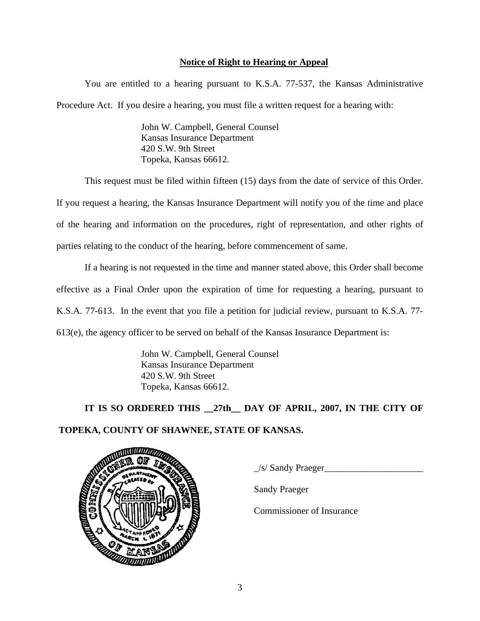# **Notice of Right to Hearing or Appeal**

You are entitled to a hearing pursuant to K.S.A. 77-537, the Kansas Administrative Procedure Act. If you desire a hearing, you must file a written request for a hearing with:

> John W. Campbell, General Counsel Kansas Insurance Department 420 S.W. 9th Street Topeka, Kansas 66612.

This request must be filed within fifteen (15) days from the date of service of this Order.

If you request a hearing, the Kansas Insurance Department will notify you of the time and place of the hearing and information on the procedures, right of representation, and other rights of parties relating to the conduct of the hearing, before commencement of same.

If a hearing is not requested in the time and manner stated above, this Order shall become effective as a Final Order upon the expiration of time for requesting a hearing, pursuant to K.S.A. 77-613. In the event that you file a petition for judicial review, pursuant to K.S.A. 77- 613(e), the agency officer to be served on behalf of the Kansas Insurance Department is:

> John W. Campbell, General Counsel Kansas Insurance Department 420 S.W. 9th Street Topeka, Kansas 66612.

 **IT IS SO ORDERED THIS \_\_27th\_\_ DAY OF APRIL, 2007, IN THE CITY OF TOPEKA, COUNTY OF SHAWNEE, STATE OF KANSAS.** 



 $\angle$ s/ Sandy Praeger $\angle$ 

Sandy Praeger

Commissioner of Insurance